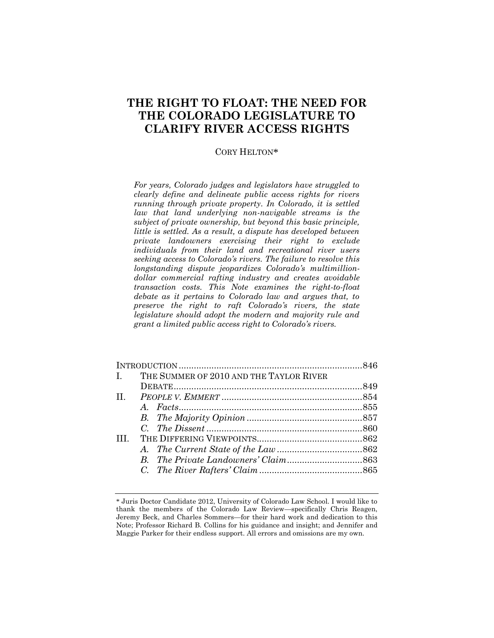# **THE RIGHT TO FLOAT: THE NEED FOR THE COLORADO LEGISLATURE TO CLARIFY RIVER ACCESS RIGHTS**

## CORY HELTON\*

*For years, Colorado judges and legislators have struggled to clearly define and delineate public access rights for rivers running through private property. In Colorado, it is settled law that land underlying non-navigable streams is the subject of private ownership, but beyond this basic principle, little is settled. As a result, a dispute has developed between private landowners exercising their right to exclude individuals from their land and recreational river users seeking access to Colorado's rivers. The failure to resolve this longstanding dispute jeopardizes Colorado's multimilliondollar commercial rafting industry and creates avoidable transaction costs. This Note examines the right-to-float debate as it pertains to Colorado law and argues that, to preserve the right to raft Colorado's rivers, the state legislature should adopt the modern and majority rule and grant a limited public access right to Colorado's rivers.*

| I. THE SUMMER OF 2010 AND THE TAYLOR RIVER |  |  |  |
|--------------------------------------------|--|--|--|
|                                            |  |  |  |
|                                            |  |  |  |
|                                            |  |  |  |
|                                            |  |  |  |
|                                            |  |  |  |
| TH <sub>1</sub>                            |  |  |  |
|                                            |  |  |  |
|                                            |  |  |  |
|                                            |  |  |  |

<sup>\*</sup> Juris Doctor Candidate 2012, University of Colorado Law School. I would like to thank the members of the Colorado Law Review—specifically Chris Reagen, Jeremy Beck, and Charles Sommers—for their hard work and dedication to this Note; Professor Richard B. Collins for his guidance and insight; and Jennifer and Maggie Parker for their endless support. All errors and omissions are my own.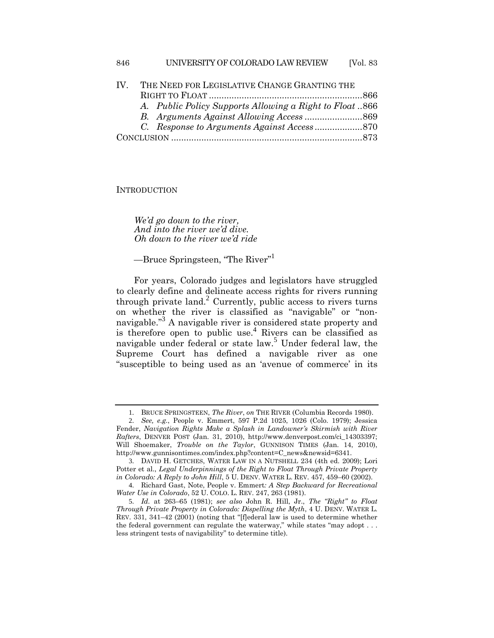| $\mathbf{I} \mathbf{V}$ | THE NEED FOR LEGISLATIVE CHANGE GRANTING THE |                                                         |  |  |
|-------------------------|----------------------------------------------|---------------------------------------------------------|--|--|
|                         |                                              |                                                         |  |  |
|                         |                                              | A. Public Policy Supports Allowing a Right to Float 866 |  |  |
|                         |                                              |                                                         |  |  |
|                         |                                              |                                                         |  |  |
|                         |                                              |                                                         |  |  |
|                         |                                              |                                                         |  |  |

**INTRODUCTION** 

*We'd go down to the river, And into the river we'd dive. Oh down to the river we'd ride*

<span id="page-1-3"></span><span id="page-1-1"></span>—Bruce Springsteen, "The River"<sup>1</sup>

<span id="page-1-0"></span>For years, Colorado judges and legislators have struggled to clearly define and delineate access rights for rivers running through private land.<sup>2</sup> Currently, public access to rivers turns on whether the river is classified as "navigable" or "nonnavigable."<sup>3</sup> A navigable river is considered state property and is therefore open to public use.<sup>4</sup> Rivers can be classified as navigable under federal or state law.<sup>5</sup> Under federal law, the Supreme Court has defined a navigable river as one "susceptible to being used as an 'avenue of commerce' in its

<span id="page-1-2"></span><sup>1</sup>. BRUCE SPRINGSTEEN, *The River*, *on* THE RIVER (Columbia Records 1980).

<sup>2</sup>. *See, e.g.*, People v. Emmert, 597 P.2d 1025, 1026 (Colo. 1979); Jessica Fender, *Navigation Rights Make a Splash in Landowner's Skirmish with River Rafters*, DENVER POST (Jan. 31, 2010), http://www.denverpost.com/ci\_14303397; Will Shoemaker, *Trouble on the Taylor*, GUNNISON TIMES (Jan. 14, 2010), http://www.gunnisontimes.com/index.php?content=C\_news&newsid=6341.

<sup>3</sup>. DAVID H. GETCHES, WATER LAW IN A NUTSHELL 234 (4th ed. 2009); Lori Potter et al., *Legal Underpinnings of the Right to Float Through Private Property in Colorado: A Reply to John Hill*, 5 U. DENV. WATER L. REV. 457, 459–60 (2002).

<sup>4</sup>. Richard Gast, Note, People v. Emmert*: A Step Backward for Recreational Water Use in Colorado*, 52 U. COLO. L. REV. 247, 263 (1981).

<sup>5</sup>. *Id.* at 263–65 (1981); *see also* John R. Hill, Jr., *The "Right" to Float Through Private Property in Colorado: Dispelling the Myth*, 4 U. DENV. WATER L. REV. 331, 341–42 (2001) (noting that "[f]ederal law is used to determine whether the federal government can regulate the waterway," while states "may adopt . . . less stringent tests of navigability" to determine title).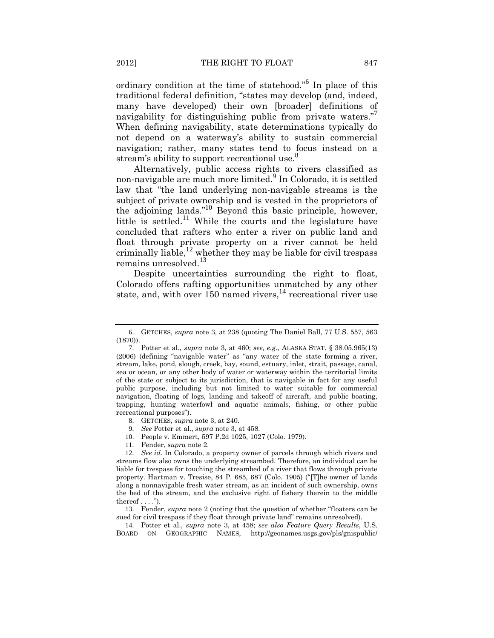ordinary condition at the time of statehood."<sup>6</sup> In place of this traditional federal definition, "states may develop (and, indeed, many have developed) their own [broader] definitions of navigability for distinguishing public from private waters." When defining navigability, state determinations typically do not depend on a waterway's ability to sustain commercial navigation; rather, many states tend to focus instead on a stream's ability to support recreational use.<sup>8</sup>

Alternatively, public access rights to rivers classified as non-navigable are much more limited.<sup>9</sup> In Colorado, it is settled law that "the land underlying non-navigable streams is the subject of private ownership and is vested in the proprietors of the adjoining lands."<sup>10</sup> Beyond this basic principle, however, little is settled.<sup>11</sup> While the courts and the legislature have concluded that rafters who enter a river on public land and float through private property on a river cannot be held criminally liable, $^{12}$  whether they may be liable for civil trespass remains unresolved.<sup>13</sup>

Despite uncertainties surrounding the right to float, Colorado offers rafting opportunities unmatched by any other state, and, with over  $150$  named rivers,  $14$  recreational river use

- 8. GETCHES, *supra* not[e 3,](#page-1-0) at 240.
- 9. *See* Potter et al., *supra* note [3,](#page-1-0) at 458.
- 10. People v. Emmert, 597 P.2d 1025, 1027 (Colo. 1979).
- 11. Fender, *supra* note [2.](#page-1-1)

12. *See id.* In Colorado, a property owner of parcels through which rivers and streams flow also owns the underlying streambed. Therefore, an individual can be liable for trespass for touching the streambed of a river that flows through private property. Hartman v. Tresise, 84 P. 685, 687 (Colo. 1905) ("[T]he owner of lands along a nonnavigable fresh water stream, as an incident of such ownership, owns the bed of the stream, and the exclusive right of fishery therein to the middle thereof  $\dots$  .").

13. Fender, *supra* note [2](#page-1-1) (noting that the question of whether "floaters can be sued for civil trespass if they float through private land" remains unresolved).

14. Potter et al., *supra* note [3,](#page-1-0) at 458; *see also Feature Query Results*, U.S. BOARD ON GEOGRAPHIC NAMES, http://geonames.usgs.gov/pls/gnispublic/

<sup>6</sup>. GETCHES, *supra* not[e 3,](#page-1-0) at 238 (quoting The Daniel Ball, 77 U.S. 557, 563 (1870)).

<sup>7</sup>. Potter et al., *supra* note [3,](#page-1-0) at 460; *see, e.g.*, ALASKA STAT. § 38.05.965(13) (2006) (defining "navigable water" as "any water of the state forming a river, stream, lake, pond, slough, creek, bay, sound, estuary, inlet, strait, passage, canal, sea or ocean, or any other body of water or waterway within the territorial limits of the state or subject to its jurisdiction, that is navigable in fact for any useful public purpose, including but not limited to water suitable for commercial navigation, floating of logs, landing and takeoff of aircraft, and public boating, trapping, hunting waterfowl and aquatic animals, fishing, or other public recreational purposes").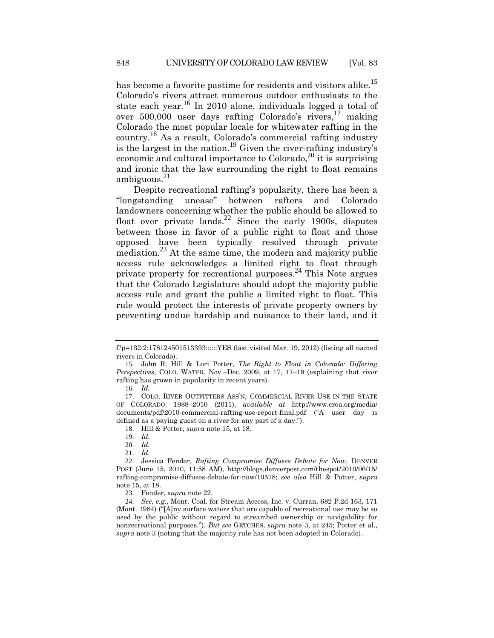<span id="page-3-3"></span><span id="page-3-2"></span><span id="page-3-0"></span>has become a favorite pastime for residents and visitors alike.<sup>15</sup> Colorado's rivers attract numerous outdoor enthusiasts to the state each year.<sup>16</sup> In 2010 alone, individuals logged a total of over  $500,000$  user days rafting Colorado's rivers,  $17$  making Colorado the most popular locale for whitewater rafting in the country.<sup>18</sup> As a result, Colorado's commercial rafting industry is the largest in the nation.<sup>19</sup> Given the river-rafting industry's economic and cultural importance to Colorado,<sup>20</sup> it is surprising and ironic that the law surrounding the right to float remains ambiguous. $^{21}$ 

<span id="page-3-4"></span><span id="page-3-1"></span>Despite recreational rafting's popularity, there has been a "longstanding unease" between rafters and Colorado landowners concerning whether the public should be allowed to float over private lands.<sup>22</sup> Since the early 1900s, disputes between those in favor of a public right to float and those opposed have been typically resolved through private mediation.<sup>23</sup> At the same time, the modern and majority public access rule acknowledges a limited right to float through private property for recreational purposes.<sup>24</sup> This Note argues that the Colorado Legislature should adopt the majority public access rule and grant the public a limited right to float. This rule would protect the interests of private property owners by preventing undue hardship and nuisance to their land, and it

f?p=132:2:178124501513393::::::YES (last visited Mar. 19, 2012) (listing all named rivers in Colorado).

<sup>15</sup>. John R. Hill & Lori Potter, *The Right to Float in Colorado: Differing Perspectives*, COLO. WATER, Nov.–Dec. 2009, at 17, 17–19 (explaining that river rafting has grown in popularity in recent years).

<sup>16</sup>. *Id.*

<sup>17</sup>. COLO. RIVER OUTFITTERS ASS'N, COMMERCIAL RIVER USE IN THE STATE OF COLORADO: 1988–2010 (2011), *available at* http://www.croa.org/media/ documents/pdf/2010-commercial-rafting-use-report-final.pdf ("A user day is defined as a paying guest on a river for any part of a day.").

<sup>18</sup>. Hill & Potter, *supra* note [15,](#page-3-0) at 18.

<sup>19</sup>. *Id.*

<sup>20</sup>. *Id.*

<sup>21</sup>. *Id.*

<sup>22</sup>. Jessica Fender, *Rafting Compromise Diffuses Debate for Now*, DENVER POST (June 15, 2010, 11:58 AM), http://blogs.denverpost.com/thespot/2010/06/15/ rafting-compromise-diffuses-debate-for-now/10578; *see also* Hill & Potter, *supra* not[e 15,](#page-3-0) at 18.

<sup>23</sup>. Fender, *supra* note [22.](#page-3-1)

<sup>24</sup>. *See, e.g.*, Mont. Coal. for Stream Access, Inc. v. Curran, 682 P.2d 163, 171 (Mont. 1984) ("[A]ny surface waters that are capable of recreational use may be so used by the public without regard to streambed ownership or navigability for nonrecreational purposes."). *But see* GETCHES, *supra* note [3,](#page-1-0) at 245; Potter et al., *supra* note [3](#page-1-0) (noting that the majority rule has not been adopted in Colorado).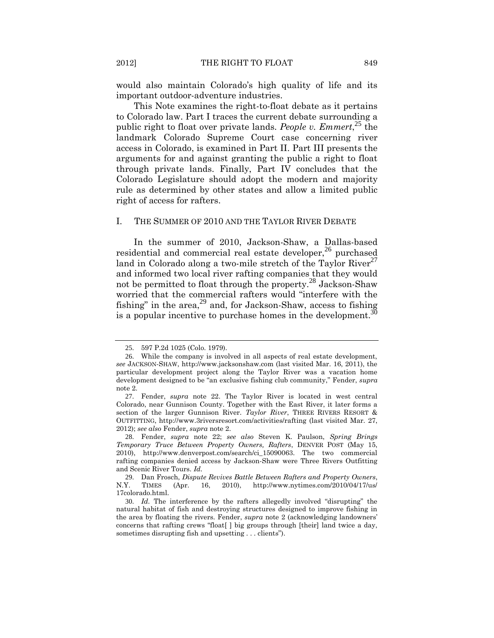would also maintain Colorado's high quality of life and its important outdoor-adventure industries.

This Note examines the right-to-float debate as it pertains to Colorado law. Part I traces the current debate surrounding a public right to float over private lands. *People v. Emmert*,<sup>25</sup> the landmark Colorado Supreme Court case concerning river access in Colorado, is examined in Part II. Part III presents the arguments for and against granting the public a right to float through private lands. Finally, Part IV concludes that the Colorado Legislature should adopt the modern and majority rule as determined by other states and allow a limited public right of access for rafters.

#### I. THE SUMMER OF 2010 AND THE TAYLOR RIVER DEBATE

In the summer of 2010, Jackson-Shaw, a Dallas-based residential and commercial real estate developer, $^{26}$  purchased land in Colorado along a two-mile stretch of the Taylor River<sup>27</sup> and informed two local river rafting companies that they would not be permitted to float through the property.<sup>28</sup> Jackson-Shaw worried that the commercial rafters would "interfere with the fishing" in the area, $^{29}$  and, for Jackson-Shaw, access to fishing is a popular incentive to purchase homes in the development.<sup>30</sup>

<span id="page-4-1"></span><span id="page-4-0"></span><sup>25</sup>. 597 P.2d 1025 (Colo. 1979).

<sup>26</sup>. While the company is involved in all aspects of real estate development, *see* JACKSON-SHAW, http://www.jacksonshaw.com (last visited Mar. 16, 2011), the particular development project along the Taylor River was a vacation home development designed to be "an exclusive fishing club community," Fender, *supra* not[e 2.](#page-1-1)

<sup>27</sup>. Fender, *supra* note [22.](#page-3-1) The Taylor River is located in west central Colorado, near Gunnison County. Together with the East River, it later forms a section of the larger Gunnison River. *Taylor River*, THREE RIVERS RESORT & OUTFITTING, http://www.3riversresort.com/activities/rafting (last visited Mar. 27, 2012); *see also* Fender, *supra* note [2.](#page-1-1)

<sup>28</sup>. Fender, *supra* note [22;](#page-3-1) *see also* Steven K. Paulson, *Spring Brings Temporary Truce Between Property Owners, Rafters*, DENVER POST (May 15, 2010), http://www.denverpost.com/search/ci\_15090063. The two commercial rafting companies denied access by Jackson-Shaw were Three Rivers Outfitting and Scenic River Tours. *Id.*

<sup>29</sup>. Dan Frosch, *Dispute Revives Battle Between Rafters and Property Owners*, N.Y. TIMES (Apr. 16, 2010), http://www.nytimes.com/2010/04/17/us/ 17colorado.html.

<sup>30</sup>. *Id.* The interference by the rafters allegedly involved "disrupting" the natural habitat of fish and destroying structures designed to improve fishing in the area by floating the rivers. Fender, *supra* note [2](#page-1-1) (acknowledging landowners' concerns that rafting crews "float[ ] big groups through [their] land twice a day, sometimes disrupting fish and upsetting . . . clients").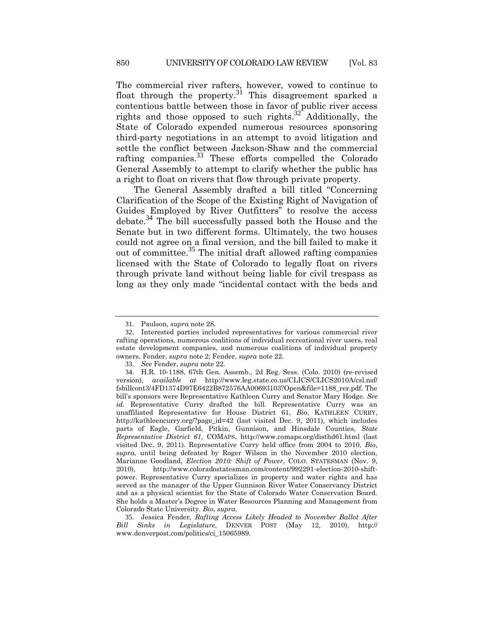The commercial river rafters, however, vowed to continue to float through the property.<sup>31</sup> This disagreement sparked a contentious battle between those in favor of public river access rights and those opposed to such rights.<sup>32</sup> Additionally, the State of Colorado expended numerous resources sponsoring third-party negotiations in an attempt to avoid litigation and settle the conflict between Jackson-Shaw and the commercial rafting companies.<sup>33</sup> These efforts compelled the Colorado General Assembly to attempt to clarify whether the public has a right to float on rivers that flow through private property.

<span id="page-5-0"></span>The General Assembly drafted a bill titled "Concerning Clarification of the Scope of the Existing Right of Navigation of Guides Employed by River Outfitters" to resolve the access debate.<sup>34</sup> The bill successfully passed both the House and the Senate but in two different forms. Ultimately, the two houses could not agree on a final version, and the bill failed to make it out of committee.<sup>35</sup> The initial draft allowed rafting companies licensed with the State of Colorado to legally float on rivers through private land without being liable for civil trespass as long as they only made "incidental contact with the beds and

<sup>31</sup>. Paulson, *supra* not[e 28.](#page-4-0)

<sup>32</sup>. Interested parties included representatives for various commercial river rafting operations, numerous coalitions of individual recreational river users, real estate development companies, and numerous coalitions of individual property owners. Fender, *supra* not[e 2;](#page-1-1) Fender, *supra* note [22.](#page-3-1)

<sup>33</sup>. *See* Fender, *supra* not[e 22.](#page-3-1)

<sup>34</sup>. H.R. 10-1188, 67th Gen. Assemb., 2d Reg. Sess. (Colo. 2010) (re-revised version), *available at* http://www.leg.state.co.us/CLICS/CLICS2010A/csl.nsf/ fsbillcont3/4FD1374D97E6422B872576AA00693103?Open&file=1188\_rer.pdf. The bill's sponsors were Representative Kathleen Curry and Senator Mary Hodge. *See id.* Representative Curry drafted the bill. Representative Curry was an unaffiliated Representative for House District 61, *Bio*, KATHLEEN CURRY, http://kathleencurry.org/?page\_id=42 (last visited Dec. 9, 2011), which includes parts of Eagle, Garfield, Pitkin, Gunnison, and Hinsdale Counties, *State Representative District 61*, COMAPS, http://www.comaps.org/disthd61.html (last visited Dec. 9, 2011). Representative Curry held office from 2004 to 2010, *Bio*, *supra*, until being defeated by Roger Wilson in the November 2010 election, Marianne Goodland, *Election 2010: Shift of Power*, COLO. STATESMAN (Nov. 9, 2010), http://www.coloradostatesman.com/content/992291-election-2010-shiftpower. Representative Curry specializes in property and water rights and has served as the manager of the Upper Gunnison River Water Conservancy District and as a physical scientist for the State of Colorado Water Conservation Board. She holds a Master's Degree in Water Resources Planning and Management from Colorado State University. *Bio*, *supra*.

<sup>35</sup>. Jessica Fender, *Rafting Access Likely Headed to November Ballot After Bill Sinks in Legislature*, DENVER POST (May 12, 2010), http:// www.denverpost.com/politics/ci\_15065989.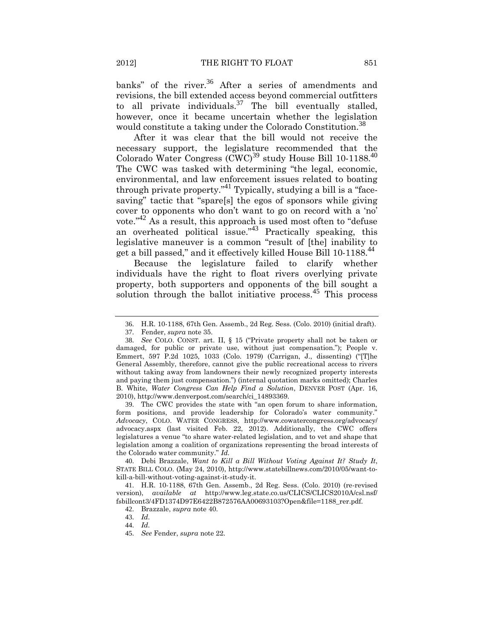banks" of the river.<sup>36</sup> After a series of amendments and revisions, the bill extended access beyond commercial outfitters to all private individuals. $37$  The bill eventually stalled, however, once it became uncertain whether the legislation would constitute a taking under the Colorado Constitution.<sup>38</sup>

<span id="page-6-0"></span>After it was clear that the bill would not receive the necessary support, the legislature recommended that the Colorado Water Congress  $(CWC)^{39}$  study House Bill 10-1188.<sup>40</sup> The CWC was tasked with determining "the legal, economic, environmental, and law enforcement issues related to boating through private property."<sup>41</sup> Typically, studying a bill is a "facesaving" tactic that "spare[s] the egos of sponsors while giving cover to opponents who don't want to go on record with a 'no' vote."<sup>42</sup> As a result, this approach is used most often to "defuse an overheated political issue."<sup>43</sup> Practically speaking, this legislative maneuver is a common "result of [the] inability to get a bill passed," and it effectively killed House Bill 10-1188.<sup>44</sup>

Because the legislature failed to clarify whether individuals have the right to float rivers overlying private property, both supporters and opponents of the bill sought a solution through the ballot initiative process.<sup>45</sup> This process

39. The CWC provides the state with "an open forum to share information, form positions, and provide leadership for Colorado's water community." *Advocacy*, COLO. WATER CONGRESS, http://www.cowatercongress.org/advocacy/ advocacy.aspx (last visited Feb. 22, 2012). Additionally, the CWC offers legislatures a venue "to share water-related legislation, and to vet and shape that legislation among a coalition of organizations representing the broad interests of the Colorado water community." *Id.*

40. Debi Brazzale, *Want to Kill a Bill Without Voting Against It? Study It*, STATE BILL COLO. (May 24, 2010), http://www.statebillnews.com/2010/05/want-tokill-a-bill-without-voting-against-it-study-it.

41. H.R. 10-1188, 67th Gen. Assemb., 2d Reg. Sess. (Colo. 2010) (re-revised version), *available at* http://www.leg.state.co.us/CLICS/CLICS2010A/csl.nsf/ fsbillcont3/4FD1374D97E6422B872576AA00693103?Open&file=1188\_rer.pdf.

<sup>36</sup>. H.R. 10-1188, 67th Gen. Assemb., 2d Reg. Sess. (Colo. 2010) (initial draft).

<sup>37</sup>. Fender, *supra* note [35.](#page-5-0)

<sup>38</sup>. *See* COLO. CONST. art. II, § 15 ("Private property shall not be taken or damaged, for public or private use, without just compensation."); People v. Emmert, 597 P.2d 1025, 1033 (Colo. 1979) (Carrigan, J., dissenting) ("[T]he General Assembly, therefore, cannot give the public recreational access to rivers without taking away from landowners their newly recognized property interests and paying them just compensation.") (internal quotation marks omitted); Charles B. White, *Water Congress Can Help Find a Solution*, DENVER POST (Apr. 16, 2010), http://www.denverpost.com/search/ci\_14893369.

<sup>42</sup>. Brazzale, *supra* not[e 40.](#page-6-0)

<sup>43</sup>. *Id.*

<sup>44</sup>. *Id.*

<sup>45</sup>. *See* Fender, *supra* not[e 22.](#page-3-1)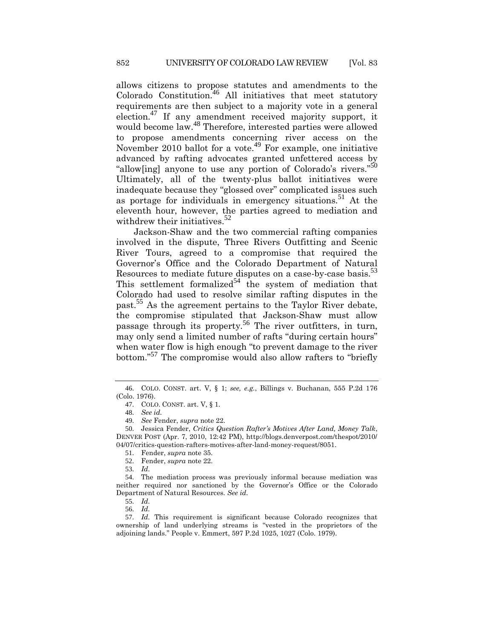<span id="page-7-0"></span>allows citizens to propose statutes and amendments to the Colorado Constitution.<sup>46</sup> All initiatives that meet statutory requirements are then subject to a majority vote in a general election.<sup>47</sup> If any amendment received majority support, it would become law.<sup>48</sup> Therefore, interested parties were allowed to propose amendments concerning river access on the November 2010 ballot for a vote.<sup>49</sup> For example, one initiative advanced by rafting advocates granted unfettered access by "allow[ing] anyone to use any portion of Colorado's rivers."<sup>50</sup> Ultimately, all of the twenty-plus ballot initiatives were inadequate because they "glossed over" complicated issues such as portage for individuals in emergency situations.<sup>51</sup> At the eleventh hour, however, the parties agreed to mediation and withdrew their initiatives.<sup>52</sup>

<span id="page-7-1"></span>Jackson-Shaw and the two commercial rafting companies involved in the dispute, Three Rivers Outfitting and Scenic River Tours, agreed to a compromise that required the Governor's Office and the Colorado Department of Natural Resources to mediate future disputes on a case-by-case basis.<sup>53</sup> This settlement formalized<sup>54</sup> the system of mediation that Colorado had used to resolve similar rafting disputes in the past.<sup>55</sup> As the agreement pertains to the Taylor River debate, the compromise stipulated that Jackson-Shaw must allow passage through its property.<sup>56</sup> The river outfitters, in turn, may only send a limited number of rafts "during certain hours" when water flow is high enough "to prevent damage to the river bottom."<sup>57</sup> The compromise would also allow rafters to "briefly

<sup>46</sup>. COLO. CONST. art. V, § 1; *see, e.g.*, Billings v. Buchanan, 555 P.2d 176 (Colo. 1976).

<sup>47</sup>. COLO. CONST. art. V, § 1.

<sup>48</sup>. *See id.*

<sup>49</sup>. *See* Fender, *supra* not[e 22.](#page-3-1)

<sup>50</sup>. Jessica Fender, *Critics Question Rafter's Motives After Land, Money Talk*, DENVER POST (Apr. 7, 2010, 12:42 PM), http://blogs.denverpost.com/thespot/2010/ 04/07/critics-question-rafters-motives-after-land-money-request/8051.

<sup>51</sup>. Fender, *supra* note [35.](#page-5-0)

<sup>52</sup>. Fender, *supra* note [22.](#page-3-1)

<sup>53</sup>. *Id.*

<sup>54</sup>. The mediation process was previously informal because mediation was neither required nor sanctioned by the Governor's Office or the Colorado Department of Natural Resources. *See id.*

<sup>55</sup>. *Id.*

<sup>56</sup>. *Id.*

<sup>57</sup>. *Id.* This requirement is significant because Colorado recognizes that ownership of land underlying streams is "vested in the proprietors of the adjoining lands." People v. Emmert, 597 P.2d 1025, 1027 (Colo. 1979).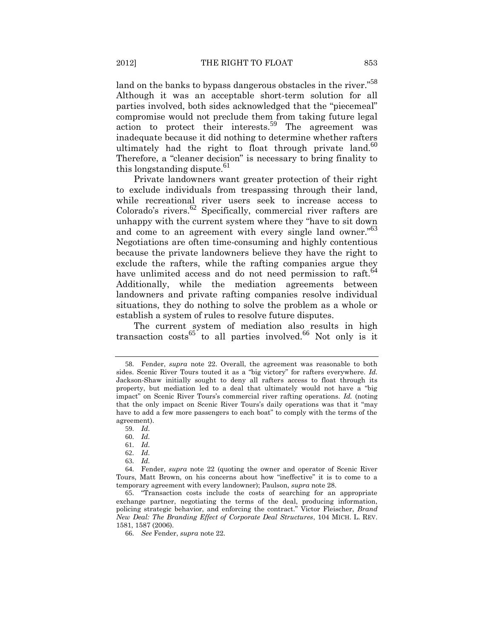land on the banks to bypass dangerous obstacles in the river."<sup>58</sup> Although it was an acceptable short-term solution for all parties involved, both sides acknowledged that the "piecemeal" compromise would not preclude them from taking future legal action to protect their interests.<sup>59</sup> The agreement was inadequate because it did nothing to determine whether rafters ultimately had the right to float through private land. $60$ Therefore, a "cleaner decision" is necessary to bring finality to this longstanding dispute.<sup>61</sup>

Private landowners want greater protection of their right to exclude individuals from trespassing through their land, while recreational river users seek to increase access to Colorado's rivers. $62$  Specifically, commercial river rafters are unhappy with the current system where they "have to sit down and come to an agreement with every single land owner."<sup>63</sup> Negotiations are often time-consuming and highly contentious because the private landowners believe they have the right to exclude the rafters, while the rafting companies argue they have unlimited access and do not need permission to raft.<sup>64</sup> Additionally, while the mediation agreements between landowners and private rafting companies resolve individual situations, they do nothing to solve the problem as a whole or establish a system of rules to resolve future disputes.

The current system of mediation also results in high transaction  $costs^{65}$  to all parties involved.<sup>66</sup> Not only is it

63. *Id.*

<sup>58</sup>. Fender, *supra* note [22.](#page-3-1) Overall, the agreement was reasonable to both sides. Scenic River Tours touted it as a "big victory" for rafters everywhere. *Id.* Jackson-Shaw initially sought to deny all rafters access to float through its property, but mediation led to a deal that ultimately would not have a "big impact" on Scenic River Tours's commercial river rafting operations. *Id.* (noting that the only impact on Scenic River Tours's daily operations was that it "may have to add a few more passengers to each boat" to comply with the terms of the agreement).

<sup>59</sup>. *Id.*

<sup>60</sup>. *Id.*

<sup>61</sup>. *Id.*

<sup>62</sup>. *Id.*

<sup>64</sup>. Fender, *supra* note [22](#page-3-1) (quoting the owner and operator of Scenic River Tours, Matt Brown, on his concerns about how "ineffective" it is to come to a temporary agreement with every landowner); Paulson, *supra* not[e 28.](#page-4-0)

<sup>65</sup>. "Transaction costs include the costs of searching for an appropriate exchange partner, negotiating the terms of the deal, producing information, policing strategic behavior, and enforcing the contract." Victor Fleischer, *Brand New Deal: The Branding Effect of Corporate Deal Structures*, 104 MICH. L. REV. 1581, 1587 (2006).

<sup>66</sup>. *See* Fender, *supra* not[e 22.](#page-3-1)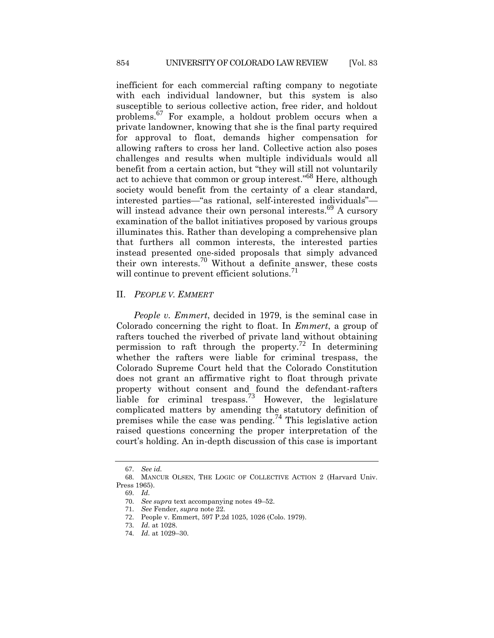inefficient for each commercial rafting company to negotiate with each individual landowner, but this system is also susceptible to serious collective action, free rider, and holdout problems.<sup>67</sup> For example, a holdout problem occurs when a private landowner, knowing that she is the final party required for approval to float, demands higher compensation for allowing rafters to cross her land. Collective action also poses challenges and results when multiple individuals would all benefit from a certain action, but "they will still not voluntarily act to achieve that common or group interest."<sup>68</sup> Here, although society would benefit from the certainty of a clear standard, interested parties—"as rational, self-interested individuals" will instead advance their own personal interests.<sup>69</sup> A cursory examination of the ballot initiatives proposed by various groups illuminates this. Rather than developing a comprehensive plan that furthers all common interests, the interested parties instead presented one-sided proposals that simply advanced their own interests.<sup>70</sup> Without a definite answer, these costs will continue to prevent efficient solutions. $\frac{71}{2}$ 

#### II. *PEOPLE V. EMMERT*

*People v. Emmert*, decided in 1979, is the seminal case in Colorado concerning the right to float. In *Emmert*, a group of rafters touched the riverbed of private land without obtaining permission to raft through the property.<sup>72</sup> In determining whether the rafters were liable for criminal trespass, the Colorado Supreme Court held that the Colorado Constitution does not grant an affirmative right to float through private property without consent and found the defendant-rafters liable for criminal trespass.<sup>73</sup> However, the legislature complicated matters by amending the statutory definition of premises while the case was pending.<sup>74</sup> This legislative action raised questions concerning the proper interpretation of the court's holding. An in-depth discussion of this case is important

<sup>67</sup>. *See id.*

<sup>68</sup>. MANCUR OLSEN, THE LOGIC OF COLLECTIVE ACTION 2 (Harvard Univ. Press 1965).

<sup>69</sup>. *Id.*

<sup>70</sup>. *See supra* text accompanying notes [49](#page-7-0)–[52.](#page-7-1)

<sup>71</sup>. *See* Fender, *supra* not[e 22.](#page-3-1)

<sup>72</sup>. People v. Emmert, 597 P.2d 1025, 1026 (Colo. 1979).

<sup>73</sup>. *Id.* at 1028.

<sup>74</sup>. *Id.* at 1029–30.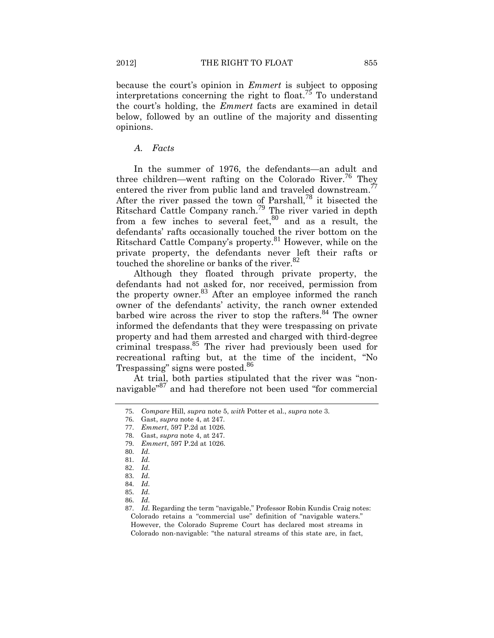because the court's opinion in *Emmert* is subject to opposing interpretations concerning the right to float.<sup>75</sup> To understand the court's holding, the *Emmert* facts are examined in detail below, followed by an outline of the majority and dissenting opinions.

## *A. Facts*

In the summer of 1976, the defendants—an adult and three children—went rafting on the Colorado River.<sup>76</sup> They entered the river from public land and traveled downstream.<sup>77</sup> After the river passed the town of Parshall,<sup>78</sup> it bisected the Ritschard Cattle Company ranch.<sup>79</sup> The river varied in depth from a few inches to several feet, $80$  and as a result, the defendants' rafts occasionally touched the river bottom on the Ritschard Cattle Company's property.<sup>81</sup> However, while on the private property, the defendants never left their rafts or touched the shoreline or banks of the river.<sup>82</sup>

Although they floated through private property, the defendants had not asked for, nor received, permission from the property owner.<sup>83</sup> After an employee informed the ranch owner of the defendants' activity, the ranch owner extended barbed wire across the river to stop the rafters.<sup>84</sup> The owner informed the defendants that they were trespassing on private property and had them arrested and charged with third-degree criminal trespass.<sup>85</sup> The river had previously been used for recreational rafting but, at the time of the incident, "No Trespassing" signs were posted.<sup>86</sup>

At trial, both parties stipulated that the river was "nonnavigable<sup>"87</sup> and had therefore not been used "for commercial

<sup>75</sup>. *Compare* Hill, *supra* not[e 5,](#page-1-2) *with* Potter et al., *supra* not[e 3.](#page-1-0)

<sup>76</sup>. Gast, *supra* not[e 4,](#page-1-3) at 247.

<sup>77</sup>. *Emmert*, 597 P.2d at 1026.

<sup>78</sup>. Gast, *supra* not[e 4,](#page-1-3) at 247.

<sup>79</sup>. *Emmert*, 597 P.2d at 1026.

<sup>80</sup>. *Id.*

<sup>81</sup>. *Id.*

<sup>82</sup>. *Id.*

<sup>83</sup>. *Id.*

<sup>84</sup>. *Id.*

<sup>85</sup>. *Id.*

<sup>86</sup>. *Id.*

<sup>87</sup>. *Id.* Regarding the term "navigable," Professor Robin Kundis Craig notes: Colorado retains a "commercial use" definition of "navigable waters." However, the Colorado Supreme Court has declared most streams in Colorado non-navigable: "the natural streams of this state are, in fact,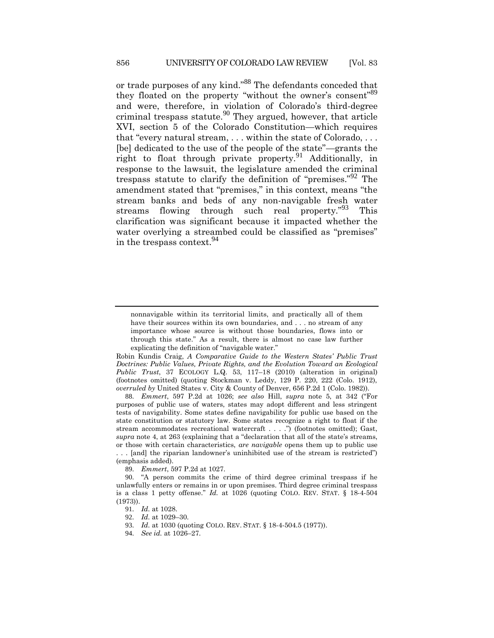or trade purposes of any kind."<sup>88</sup> The defendants conceded that they floated on the property "without the owner's consent"<sup>89</sup> and were, therefore, in violation of Colorado's third-degree criminal trespass statute.<sup>90</sup> They argued, however, that article XVI, section 5 of the Colorado Constitution—which requires that "every natural stream, . . . within the state of Colorado, . . . [be] dedicated to the use of the people of the state"—grants the right to float through private property.<sup>91</sup> Additionally, in response to the lawsuit, the legislature amended the criminal trespass statute to clarify the definition of "premises."<sup>92</sup> The amendment stated that "premises," in this context, means "the stream banks and beds of any non-navigable fresh water streams flowing through such real property.<sup>"93</sup> This clarification was significant because it impacted whether the water overlying a streambed could be classified as "premises" in the trespass context.<sup>94</sup>

88. *Emmert*, 597 P.2d at 1026; *see also* Hill, *supra* note [5](#page-1-2), at 342 ("For purposes of public use of waters, states may adopt different and less stringent tests of navigability. Some states define navigability for public use based on the state constitution or statutory law. Some states recognize a right to float if the stream accommodates recreational watercraft . . . .") (footnotes omitted); Gast, *supra* not[e 4](#page-1-3), at 263 (explaining that a "declaration that all of the state's streams, or those with certain characteristics, *are navigable* opens them up to public use . . . [and] the riparian landowner's uninhibited use of the stream is restricted") (emphasis added).

89. *Emmert*, 597 P.2d at 1027.

90. "A person commits the crime of third degree criminal trespass if he unlawfully enters or remains in or upon premises. Third degree criminal trespass is a class 1 petty offense." *Id.* at 1026 (quoting COLO. REV. STAT. § 18-4-504 (1973)).

- 91. *Id.* at 1028.
- 92. *Id.* at 1029–30.
- 93. *Id.* at 1030 (quoting COLO. REV. STAT. § 18-4-504.5 (1977)).
- 94. *See id.* at 1026–27.

nonnavigable within its territorial limits, and practically all of them have their sources within its own boundaries, and . . . no stream of any importance whose source is without those boundaries, flows into or through this state." As a result, there is almost no case law further explicating the definition of "navigable water."

Robin Kundis Craig, *A Comparative Guide to the Western States' Public Trust Doctrines: Public Values, Private Rights, and the Evolution Toward an Ecological Public Trust*, 37 ECOLOGY L.Q. 53, 117–18 (2010) (alteration in original) (footnotes omitted) (quoting Stockman v. Leddy, 129 P. 220, 222 (Colo. 1912), *overruled by* United States v. City & County of Denver, 656 P.2d 1 (Colo. 1982)).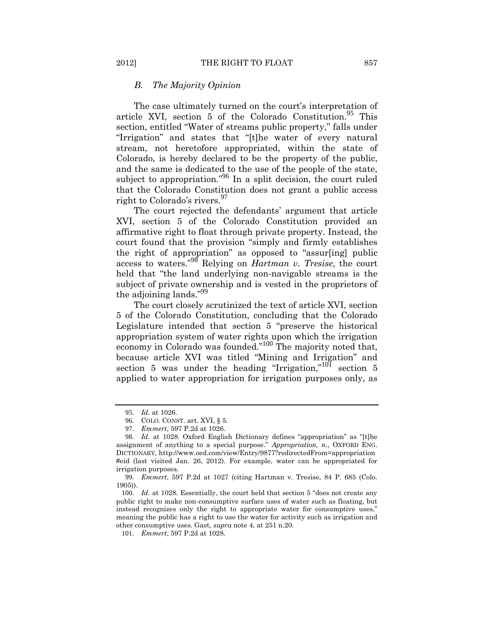#### *B. The Majority Opinion*

The case ultimately turned on the court's interpretation of article XVI, section  $5$  of the Colorado Constitution.<sup>95</sup> This section, entitled "Water of streams public property," falls under "Irrigation" and states that "[t]he water of every natural stream, not heretofore appropriated, within the state of Colorado, is hereby declared to be the property of the public, and the same is dedicated to the use of the people of the state, subject to appropriation."<sup>96</sup> In a split decision, the court ruled that the Colorado Constitution does not grant a public access right to Colorado's rivers.<sup>97</sup>

The court rejected the defendants' argument that article XVI, section 5 of the Colorado Constitution provided an affirmative right to float through private property. Instead, the court found that the provision "simply and firmly establishes the right of appropriation" as opposed to "assur[ing] public access to waters."<sup>98</sup> Relying on *Hartman v. Tresise*, the court held that "the land underlying non-navigable streams is the subject of private ownership and is vested in the proprietors of the adjoining lands."<sup>99</sup>

The court closely scrutinized the text of article XVI, section 5 of the Colorado Constitution, concluding that the Colorado Legislature intended that section 5 "preserve the historical appropriation system of water rights upon which the irrigation economy in Colorado was founded."<sup>100</sup> The majority noted that, because article XVI was titled "Mining and Irrigation" and section 5 was under the heading "Irrigation,"<sup>101</sup> section 5 applied to water appropriation for irrigation purposes only, as

<sup>95</sup>. *Id.* at 1026.

<sup>96</sup>. COLO. CONST. art. XVI, § 5.

<sup>97</sup>. *Emmert*, 597 P.2d at 1026.

<sup>98</sup>. *Id.* at 1028. Oxford English Dictionary defines "appropriation" as "[t]he assignment of anything to a special purpose." *Appropriation, n.*, OXFORD ENG. DICTIONARY, http://www.oed.com/view/Entry/9877?redirectedFrom=appropriation #eid (last visited Jan. 26, 2012). For example, water can be appropriated for irrigation purposes.

<sup>99</sup>. *Emmert*, 597 P.2d at 1027 (citing Hartman v. Tresise, 84 P. 685 (Colo. 1905)).

<sup>100</sup>. *Id.* at 1028. Essentially, the court held that section 5 "does not create any public right to make non-consumptive surface uses of water such as floating, but instead recognizes only the right to appropriate water for consumptive uses," meaning the public has a right to use the water for activity such as irrigation and other consumptive uses. Gast, *supra* not[e 4,](#page-1-3) at 251 n.20.

<sup>101</sup>. *Emmert*, 597 P.2d at 1028.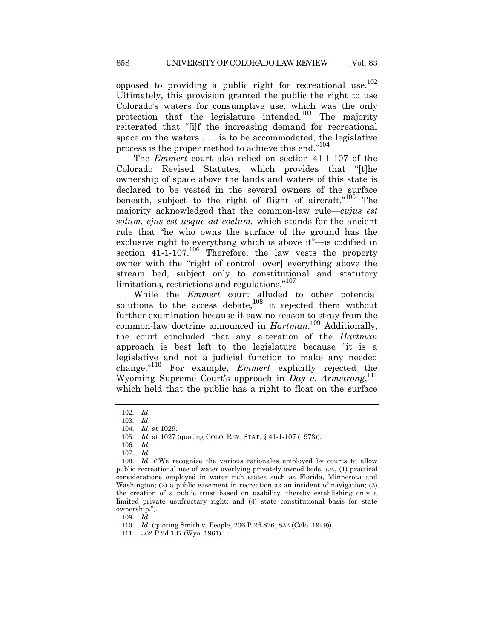opposed to providing a public right for recreational use.<sup>102</sup> Ultimately, this provision granted the public the right to use Colorado's waters for consumptive use, which was the only protection that the legislature intended.<sup>103</sup> The majority reiterated that "[i]f the increasing demand for recreational space on the waters . . . is to be accommodated, the legislative process is the proper method to achieve this end."<sup>104</sup>

The *Emmert* court also relied on section 41-1-107 of the Colorado Revised Statutes, which provides that "[t]he ownership of space above the lands and waters of this state is declared to be vested in the several owners of the surface beneath, subject to the right of flight of aircraft."<sup>105</sup> The majority acknowledged that the common-law rule—*cujus est solum, ejus est usque ad coelum,* which stands for the ancient rule that "he who owns the surface of the ground has the exclusive right to everything which is above it"—is codified in section  $41-1-107$ .<sup>106</sup> Therefore, the law vests the property owner with the "right of control [over] everything above the stream bed, subject only to constitutional and statutory limitations, restrictions and regulations."<sup>107</sup>

While the *Emmert* court alluded to other potential solutions to the access debate,  $108$  it rejected them without further examination because it saw no reason to stray from the common-law doctrine announced in *Hartman*. <sup>109</sup> Additionally, the court concluded that any alteration of the *Hartman* approach is best left to the legislature because "it is a legislative and not a judicial function to make any needed change."<sup>110</sup> For example, *Emmert* explicitly rejected the Wyoming Supreme Court's approach in *Day v. Armstrong*, 111 which held that the public has a right to float on the surface

109. *Id.*

110. *Id.* (quoting Smith v. People, 206 P.2d 826, 832 (Colo. 1949)).

111. 362 P.2d 137 (Wyo. 1961).

<sup>102</sup>. *Id.*

<sup>103</sup>. *Id.*

<sup>104</sup>. *Id.* at 1029.

<sup>105</sup>. *Id.* at 1027 (quoting COLO. REV. STAT. § 41-1-107 (1973)).

<sup>106</sup>. *Id.*

<sup>107</sup>. *Id.*

<sup>108</sup>. *Id.* ("We recognize the various rationales employed by courts to allow public recreational use of water overlying privately owned beds, *i.e.*, (1) practical considerations employed in water rich states such as Florida, Minnesota and Washington; (2) a public easement in recreation as an incident of navigation; (3) the creation of a public trust based on usability, thereby establishing only a limited private usufructary right; and (4) state constitutional basis for state ownership.").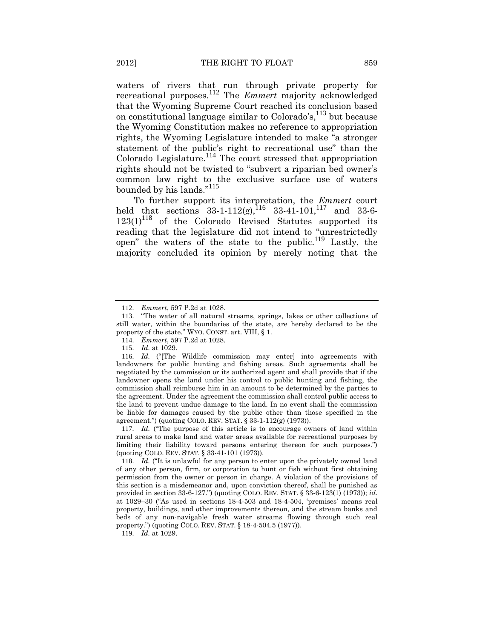waters of rivers that run through private property for recreational purposes.<sup>112</sup> The *Emmert* majority acknowledged that the Wyoming Supreme Court reached its conclusion based on constitutional language similar to Colorado's, <sup>113</sup> but because the Wyoming Constitution makes no reference to appropriation rights, the Wyoming Legislature intended to make "a stronger statement of the public's right to recreational use" than the  $Colorado Legislature.<sup>114</sup> The court stressed that approximation$ rights should not be twisted to "subvert a riparian bed owner's common law right to the exclusive surface use of waters bounded by his lands."<sup>115</sup>

To further support its interpretation, the *Emmert* court held that sections  $33-1-112(g)$ ,  $^{116}$   $33-41-101$ ,  $^{117}$  and  $33-6$  $123(1)^{118}$  of the Colorado Revised Statutes supported its reading that the legislature did not intend to "unrestrictedly open" the waters of the state to the public.<sup>119</sup> Lastly, the majority concluded its opinion by merely noting that the

117. *Id.* ("The purpose of this article is to encourage owners of land within rural areas to make land and water areas available for recreational purposes by limiting their liability toward persons entering thereon for such purposes.") (quoting COLO. REV. STAT. § 33-41-101 (1973)).

119. *Id.* at 1029.

<sup>112</sup>. *Emmert*, 597 P.2d at 1028.

<sup>113</sup>. "The water of all natural streams, springs, lakes or other collections of still water, within the boundaries of the state, are hereby declared to be the property of the state." WYO. CONST. art. VIII, § 1.

<sup>114</sup>. *Emmert*, 597 P.2d at 1028.

<sup>115</sup>. *Id.* at 1029.

<sup>116</sup>. *Id.* ("[The Wildlife commission may enter] into agreements with landowners for public hunting and fishing areas. Such agreements shall be negotiated by the commission or its authorized agent and shall provide that if the landowner opens the land under his control to public hunting and fishing, the commission shall reimburse him in an amount to be determined by the parties to the agreement. Under the agreement the commission shall control public access to the land to prevent undue damage to the land. In no event shall the commission be liable for damages caused by the public other than those specified in the agreement.") (quoting COLO. REV. STAT. § 33-1-112(g) (1973)).

<sup>118</sup>. *Id.* ("It is unlawful for any person to enter upon the privately owned land of any other person, firm, or corporation to hunt or fish without first obtaining permission from the owner or person in charge. A violation of the provisions of this section is a misdemeanor and, upon conviction thereof, shall be punished as provided in section 33-6-127.") (quoting COLO. REV. STAT. § 33-6-123(1) (1973)); *id.* at 1029–30 ("As used in sections 18-4-503 and 18-4-504, 'premises' means real property, buildings, and other improvements thereon, and the stream banks and beds of any non-navigable fresh water streams flowing through such real property.") (quoting COLO. REV. STAT. § 18-4-504.5 (1977)).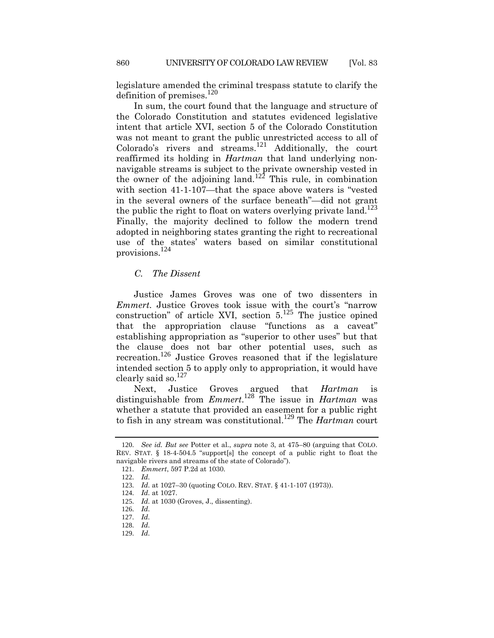legislature amended the criminal trespass statute to clarify the definition of premises. $^{120}$ 

In sum, the court found that the language and structure of the Colorado Constitution and statutes evidenced legislative intent that article XVI, section 5 of the Colorado Constitution was not meant to grant the public unrestricted access to all of  $Colorado's rivers and streams.<sup>121</sup> Additionally, the court$ reaffirmed its holding in *Hartman* that land underlying nonnavigable streams is subject to the private ownership vested in the owner of the adjoining land.<sup>122</sup> This rule, in combination with section 41-1-107—that the space above waters is "vested in the several owners of the surface beneath"—did not grant the public the right to float on waters overlying private land.<sup>123</sup> Finally, the majority declined to follow the modern trend adopted in neighboring states granting the right to recreational use of the states' waters based on similar constitutional provisions.<sup>124</sup>

## *C. The Dissent*

Justice James Groves was one of two dissenters in *Emmert*. Justice Groves took issue with the court's "narrow construction" of article XVI, section  $5^{125}$  The justice opined that the appropriation clause "functions as a caveat" establishing appropriation as "superior to other uses" but that the clause does not bar other potential uses, such as recreation.<sup>126</sup> Justice Groves reasoned that if the legislature intended section 5 to apply only to appropriation, it would have clearly said so. $^{127}$ 

Next, Justice Groves argued that *Hartman* is distinguishable from *Emmert*. <sup>128</sup> The issue in *Hartman* was whether a statute that provided an easement for a public right to fish in any stream was constitutional.<sup>129</sup> The *Hartman* court

<sup>120</sup>. *See id. But see* Potter et al., *supra* note [3,](#page-1-0) at 475–80 (arguing that COLO. REV. STAT. § 18-4-504.5 "support[s] the concept of a public right to float the navigable rivers and streams of the state of Colorado").

<sup>121</sup>. *Emmert*, 597 P.2d at 1030.

<sup>122</sup>. *Id.*

<sup>123</sup>. *Id.* at 1027–30 (quoting COLO. REV. STAT. § 41-1-107 (1973)).

<sup>124</sup>. *Id.* at 1027.

<sup>125</sup>. *Id.* at 1030 (Groves, J., dissenting).

<sup>126</sup>. *Id.*

<sup>127</sup>. *Id.*

<sup>128</sup>. *Id.*

<sup>129</sup>. *Id.*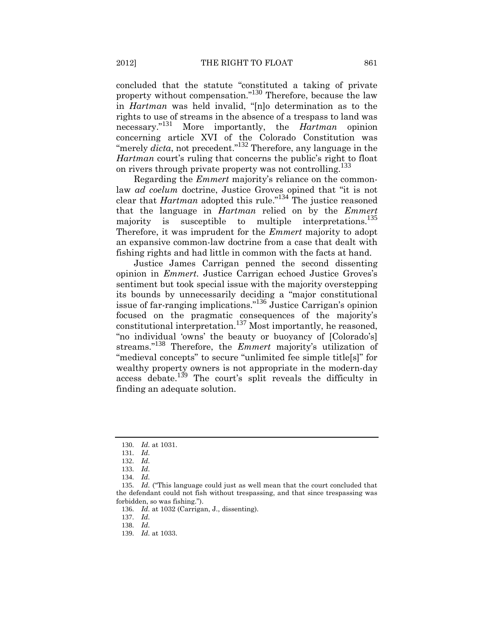concluded that the statute "constituted a taking of private property without compensation."<sup>130</sup> Therefore, because the law in *Hartman* was held invalid, "[n]o determination as to the rights to use of streams in the absence of a trespass to land was necessary."<sup>131</sup> More importantly, the *Hartman* opinion concerning article XVI of the Colorado Constitution was "merely *dicta*, not precedent."<sup>132</sup> Therefore, any language in the *Hartman* court's ruling that concerns the public's right to float on rivers through private property was not controlling.<sup>133</sup>

Regarding the *Emmert* majority's reliance on the commonlaw *ad coelum* doctrine, Justice Groves opined that "it is not clear that *Hartman* adopted this rule."<sup>134</sup> The justice reasoned that the language in *Hartman* relied on by the *Emmert* majority is susceptible to multiple interpretations.<sup>135</sup> Therefore, it was imprudent for the *Emmert* majority to adopt an expansive common-law doctrine from a case that dealt with fishing rights and had little in common with the facts at hand.

Justice James Carrigan penned the second dissenting opinion in *Emmert*. Justice Carrigan echoed Justice Groves's sentiment but took special issue with the majority overstepping its bounds by unnecessarily deciding a "major constitutional issue of far-ranging implications."<sup>136</sup> Justice Carrigan's opinion focused on the pragmatic consequences of the majority's constitutional interpretation.<sup>137</sup> Most importantly, he reasoned, "no individual 'owns' the beauty or buoyancy of [Colorado's] streams."<sup>138</sup> Therefore, the *Emmert* majority's utilization of "medieval concepts" to secure "unlimited fee simple title[s]" for wealthy property owners is not appropriate in the modern-day access debate.<sup>139</sup> The court's split reveals the difficulty in finding an adequate solution.

137. *Id.*

138. *Id.*

<sup>130</sup>. *Id.* at 1031.

<sup>131</sup>. *Id.*

<sup>132</sup>. *Id.*

<sup>133</sup>. *Id.*

<sup>134</sup>. *Id.*

<sup>135</sup>. *Id.* ("This language could just as well mean that the court concluded that the defendant could not fish without trespassing, and that since trespassing was forbidden, so was fishing.").

<sup>136</sup>. *Id.* at 1032 (Carrigan, J., dissenting).

<sup>139</sup>. *Id.* at 1033.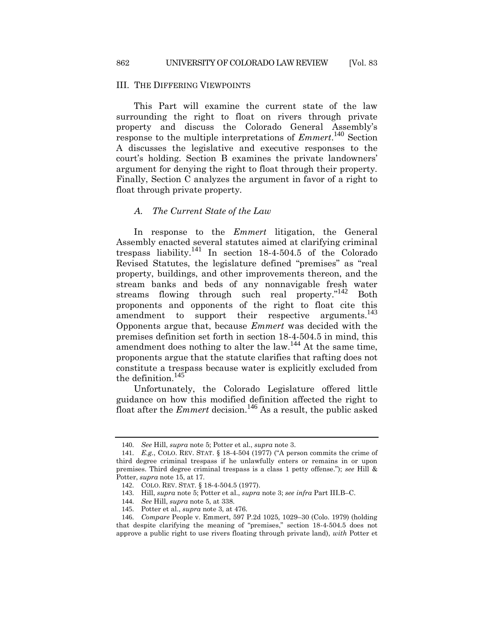#### III. THE DIFFERING VIEWPOINTS

This Part will examine the current state of the law surrounding the right to float on rivers through private property and discuss the Colorado General Assembly's response to the multiple interpretations of *Emmert*. <sup>140</sup> Section A discusses the legislative and executive responses to the court's holding. Section B examines the private landowners' argument for denying the right to float through their property. Finally, Section C analyzes the argument in favor of a right to float through private property.

#### *A. The Current State of the Law*

In response to the *Emmert* litigation, the General Assembly enacted several statutes aimed at clarifying criminal trespass liability.<sup>141</sup> In section  $18-4-504.5$  of the Colorado Revised Statutes, the legislature defined "premises" as "real property, buildings, and other improvements thereon, and the stream banks and beds of any nonnavigable fresh water streams flowing through such real property."<sup>142</sup> Both proponents and opponents of the right to float cite this  $\frac{1}{4}$  amendment to support their respective arguments.<sup>143</sup> Opponents argue that, because *Emmert* was decided with the premises definition set forth in section 18-4-504.5 in mind, this amendment does nothing to alter the law.<sup>144</sup> At the same time, proponents argue that the statute clarifies that rafting does not constitute a trespass because water is explicitly excluded from the definition.<sup>145</sup>

Unfortunately, the Colorado Legislature offered little guidance on how this modified definition affected the right to float after the *Emmert* decision.<sup>146</sup> As a result, the public asked

<sup>140</sup>. *See* Hill, *supra* not[e 5;](#page-1-2) Potter et al., *supra* not[e 3.](#page-1-0)

<sup>141</sup>. *E.g.*, COLO. REV. STAT. § 18-4-504 (1977) ("A person commits the crime of third degree criminal trespass if he unlawfully enters or remains in or upon premises. Third degree criminal trespass is a class 1 petty offense."); *see* Hill & Potter, *supra* not[e 15,](#page-3-0) at 17.

<sup>142</sup>. COLO. REV. STAT. § 18-4-504.5 (1977).

<sup>143</sup>. Hill, *supra* note [5;](#page-1-2) Potter et al., *supra* note [3;](#page-1-0) *see infra* Part III.B–C.

<sup>144</sup>. *See* Hill, *supra* not[e 5,](#page-1-2) at 338.

<sup>145</sup>. Potter et al., *supra* not[e 3,](#page-1-0) at 476.

<sup>146</sup>. *Compare* People v. Emmert, 597 P.2d 1025, 1029–30 (Colo. 1979) (holding that despite clarifying the meaning of "premises," section 18-4-504.5 does not approve a public right to use rivers floating through private land), *with* Potter et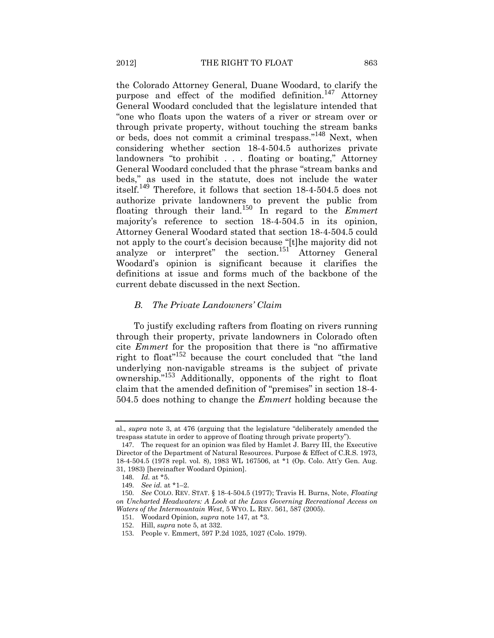<span id="page-18-0"></span>the Colorado Attorney General, Duane Woodard, to clarify the purpose and effect of the modified definition.<sup>147</sup> Attorney General Woodard concluded that the legislature intended that "one who floats upon the waters of a river or stream over or through private property, without touching the stream banks or beds, does not commit a criminal trespass."<sup>148</sup> Next, when considering whether section 18-4-504.5 authorizes private landowners "to prohibit . . . floating or boating," Attorney General Woodard concluded that the phrase "stream banks and beds," as used in the statute, does not include the water itself.<sup>149</sup> Therefore, it follows that section 18-4-504.5 does not authorize private landowners to prevent the public from floating through their land.<sup>150</sup> In regard to the *Emmert* majority's reference to section 18-4-504.5 in its opinion, Attorney General Woodard stated that section 18-4-504.5 could not apply to the court's decision because "[t]he majority did not analyze or interpret" the section.<sup>151</sup> Attorney General Woodard's opinion is significant because it clarifies the definitions at issue and forms much of the backbone of the current debate discussed in the next Section.

## <span id="page-18-1"></span>*B. The Private Landowners' Claim*

To justify excluding rafters from floating on rivers running through their property, private landowners in Colorado often cite *Emmert* for the proposition that there is "no affirmative right to float"<sup>152</sup> because the court concluded that "the land underlying non-navigable streams is the subject of private ownership."<sup>153</sup> Additionally, opponents of the right to float claim that the amended definition of "premises" in section 18-4- 504.5 does nothing to change the *Emmert* holding because the

al., *supra* note [3](#page-1-0), at 476 (arguing that the legislature "deliberately amended the trespass statute in order to approve of floating through private property").

<sup>147</sup>. The request for an opinion was filed by Hamlet J. Barry III, the Executive Director of the Department of Natural Resources. Purpose & Effect of C.R.S. 1973, 18-4-504.5 (1978 repl. vol. 8), 1983 WL 167506, at \*1 (Op. Colo. Att'y Gen. Aug. 31, 1983) [hereinafter Woodard Opinion].

<sup>148</sup>. *Id.* at \*5.

<sup>149</sup>. *See id.* at \*1–2.

<sup>150</sup>. *See* COLO. REV. STAT. § 18-4-504.5 (1977); Travis H. Burns, Note, *Floating on Uncharted Headwaters: A Look at the Laws Governing Recreational Access on Waters of the Intermountain West*, 5 WYO. L. REV. 561, 587 (2005).

<sup>151</sup>. Woodard Opinion, *supra* note [147,](#page-18-0) at \*3.

<sup>152</sup>. Hill, *supra* note [5,](#page-1-2) at 332.

<sup>153</sup>. People v. Emmert, 597 P.2d 1025, 1027 (Colo. 1979).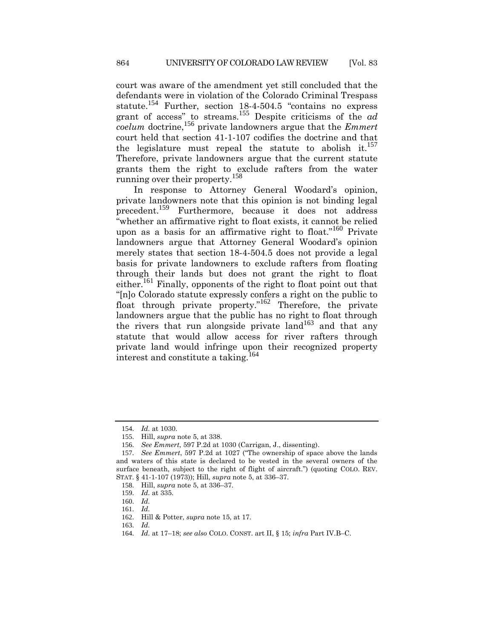court was aware of the amendment yet still concluded that the defendants were in violation of the Colorado Criminal Trespass statute.<sup>154</sup> Further, section 18-4-504.5 "contains no express grant of access" to streams.<sup>155</sup> Despite criticisms of the *ad coelum* doctrine,<sup>156</sup> private landowners argue that the *Emmert* court held that section 41-1-107 codifies the doctrine and that the legislature must repeal the statute to abolish it.<sup>157</sup> Therefore, private landowners argue that the current statute grants them the right to exclude rafters from the water running over their property.<sup>158</sup>

In response to Attorney General Woodard's opinion, private landowners note that this opinion is not binding legal precedent.<sup>159</sup> Furthermore, because it does not address "whether an affirmative right to float exists, it cannot be relied upon as a basis for an affirmative right to float."<sup>160</sup> Private landowners argue that Attorney General Woodard's opinion merely states that section 18-4-504.5 does not provide a legal basis for private landowners to exclude rafters from floating through their lands but does not grant the right to float either.<sup>161</sup> Finally, opponents of the right to float point out that "[n]o Colorado statute expressly confers a right on the public to float through private property."<sup>162</sup> Therefore, the private landowners argue that the public has no right to float through the rivers that run alongside private land<sup>163</sup> and that any statute that would allow access for river rafters through private land would infringe upon their recognized property interest and constitute a taking.<sup>164</sup>

<sup>154</sup>. *Id.* at 1030.

<sup>155</sup>. Hill, *supra* note [5,](#page-1-2) at 338.

<sup>156</sup>. *See Emmert*, 597 P.2d at 1030 (Carrigan, J., dissenting).

<sup>157</sup>. *See Emmert*, 597 P.2d at 1027 ("The ownership of space above the lands and waters of this state is declared to be vested in the several owners of the surface beneath, subject to the right of flight of aircraft.") (quoting COLO. REV. STAT. § 41-1-107 (1973)); Hill, *supra* not[e 5,](#page-1-2) at 336–37.

<sup>158</sup>. Hill, *supra* note [5,](#page-1-2) at 336–37.

<sup>159</sup>. *Id.* at 335.

<sup>160</sup>. *Id.*

<sup>161</sup>. *Id.*

<sup>162</sup>. Hill & Potter, *supra* note [15,](#page-3-0) at 17.

<sup>163</sup>. *Id.*

<sup>164</sup>. *Id.* at 17–18; *see also* COLO. CONST. art II, § 15; *infra* Part IV.B–C.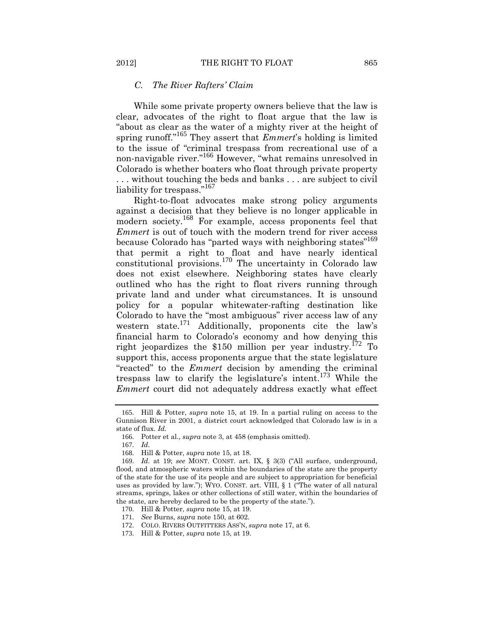#### *C. The River Rafters' Claim*

While some private property owners believe that the law is clear, advocates of the right to float argue that the law is "about as clear as the water of a mighty river at the height of spring runoff."<sup>165</sup> They assert that *Emmert*'s holding is limited to the issue of "criminal trespass from recreational use of a non-navigable river.<sup>"166</sup> However, "what remains unresolved in Colorado is whether boaters who float through private property . . . without touching the beds and banks . . . are subject to civil liability for trespass."<sup>167</sup>

Right-to-float advocates make strong policy arguments against a decision that they believe is no longer applicable in modern society.<sup>168</sup> For example, access proponents feel that *Emmert* is out of touch with the modern trend for river access because Colorado has "parted ways with neighboring states"<sup>169</sup> that permit a right to float and have nearly identical constitutional provisions.<sup>170</sup> The uncertainty in Colorado law does not exist elsewhere. Neighboring states have clearly outlined who has the right to float rivers running through private land and under what circumstances. It is unsound policy for a popular whitewater-rafting destination like Colorado to have the "most ambiguous" river access law of any western state.<sup>171</sup> Additionally, proponents cite the law's financial harm to Colorado's economy and how denying this right jeopardizes the \$150 million per year industry.<sup>172</sup> To support this, access proponents argue that the state legislature "reacted" to the *Emmert* decision by amending the criminal trespass law to clarify the legislature's intent.<sup>173</sup> While the *Emmert* court did not adequately address exactly what effect

<sup>165</sup>. Hill & Potter, *supra* note [15,](#page-3-0) at 19. In a partial ruling on access to the Gunnison River in 2001, a district court acknowledged that Colorado law is in a state of flux. *Id.*

<sup>166</sup>. Potter et al., *supra* not[e 3,](#page-1-0) at 458 (emphasis omitted).

<sup>167</sup>. *Id.*

<sup>168</sup>. Hill & Potter, *supra* note [15,](#page-3-0) at 18.

<sup>169</sup>. *Id.* at 19; *see* MONT. CONST. art. IX, § 3(3) ("All surface, underground, flood, and atmospheric waters within the boundaries of the state are the property of the state for the use of its people and are subject to appropriation for beneficial uses as provided by law."); WYO. CONST. art. VIII, § 1 ("The water of all natural streams, springs, lakes or other collections of still water, within the boundaries of the state, are hereby declared to be the property of the state.").

<sup>170</sup>. Hill & Potter, *supra* note [15,](#page-3-0) at 19.

<sup>171</sup>. *See* Burns, *supra* note [150,](#page-18-1) at 602.

<sup>172</sup>. COLO. RIVERS OUTFITTERS ASS'N, *supra* not[e 17,](#page-3-2) at 6.

<sup>173</sup>. Hill & Potter, *supra* note [15,](#page-3-0) at 19.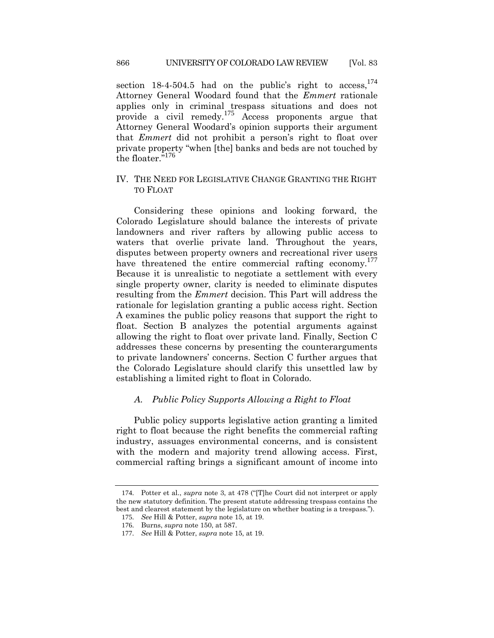section  $18-4-504.5$  had on the public's right to  $access$ ,  $174$ Attorney General Woodard found that the *Emmert* rationale applies only in criminal trespass situations and does not provide a civil remedy.<sup>175</sup> Access proponents argue that Attorney General Woodard's opinion supports their argument that *Emmert* did not prohibit a person's right to float over private property "when [the] banks and beds are not touched by the floater."<sup>176</sup>

## IV. THE NEED FOR LEGISLATIVE CHANGE GRANTING THE RIGHT TO FLOAT

Considering these opinions and looking forward, the Colorado Legislature should balance the interests of private landowners and river rafters by allowing public access to waters that overlie private land. Throughout the years, disputes between property owners and recreational river users have threatened the entire commercial rafting economy.<sup>177</sup> Because it is unrealistic to negotiate a settlement with every single property owner, clarity is needed to eliminate disputes resulting from the *Emmert* decision. This Part will address the rationale for legislation granting a public access right. Section A examines the public policy reasons that support the right to float. Section B analyzes the potential arguments against allowing the right to float over private land. Finally, Section C addresses these concerns by presenting the counterarguments to private landowners' concerns. Section C further argues that the Colorado Legislature should clarify this unsettled law by establishing a limited right to float in Colorado.

#### *A. Public Policy Supports Allowing a Right to Float*

Public policy supports legislative action granting a limited right to float because the right benefits the commercial rafting industry, assuages environmental concerns, and is consistent with the modern and majority trend allowing access. First, commercial rafting brings a significant amount of income into

<sup>174</sup>. Potter et al., *supra* note [3](#page-1-0), at 478 ("[T]he Court did not interpret or apply the new statutory definition. The present statute addressing trespass contains the best and clearest statement by the legislature on whether boating is a trespass.").

<sup>175</sup>. *See* Hill & Potter, *supra* note [15,](#page-3-0) at 19.

<sup>176</sup>. Burns, *supra* note [150,](#page-18-1) at 587.

<sup>177</sup>. *See* Hill & Potter, *supra* note [15,](#page-3-0) at 19.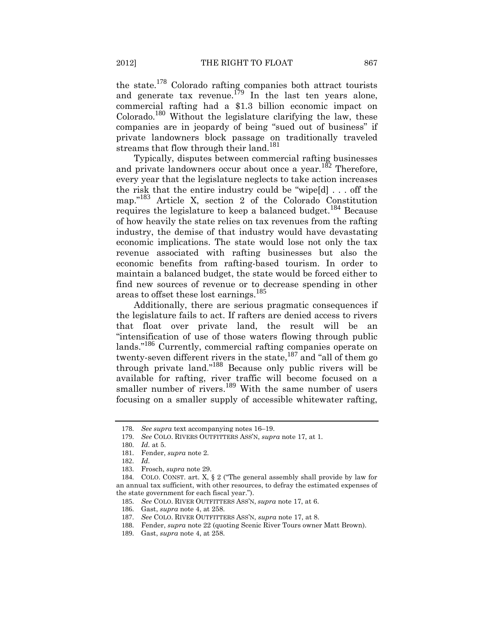the state.<sup>178</sup> Colorado rafting companies both attract tourists and generate tax revenue.<sup>179</sup> In the last ten years alone, commercial rafting had a \$1.3 billion economic impact on  $Colorado.<sup>180</sup> Without the legislature clarifying the law, these$ companies are in jeopardy of being "sued out of business" if private landowners block passage on traditionally traveled streams that flow through their land.<sup>181</sup>

Typically, disputes between commercial rafting businesses and private landowners occur about once a year.<sup>182</sup> Therefore, every year that the legislature neglects to take action increases the risk that the entire industry could be "wipe[d] . . . off the map."<sup>183</sup> Article X, section 2 of the Colorado Constitution requires the legislature to keep a balanced budget.<sup>184</sup> Because of how heavily the state relies on tax revenues from the rafting industry, the demise of that industry would have devastating economic implications. The state would lose not only the tax revenue associated with rafting businesses but also the economic benefits from rafting-based tourism. In order to maintain a balanced budget, the state would be forced either to find new sources of revenue or to decrease spending in other areas to offset these lost earnings.<sup>185</sup>

Additionally, there are serious pragmatic consequences if the legislature fails to act. If rafters are denied access to rivers that float over private land, the result will be an "intensification of use of those waters flowing through public lands."<sup>186</sup> Currently, commercial rafting companies operate on twenty-seven different rivers in the state,<sup>187</sup> and "all of them go through private land."<sup>188</sup> Because only public rivers will be available for rafting, river traffic will become focused on a smaller number of rivers.<sup>189</sup> With the same number of users focusing on a smaller supply of accessible whitewater rafting,

<sup>178</sup>. *See supra* text accompanying notes [16](#page-3-3)–[19.](#page-3-4)

<sup>179</sup>. *See* COLO. RIVERS OUTFITTERS ASS'N, *supra* not[e 17,](#page-3-2) at 1.

<sup>180</sup>. *Id.* at 5.

<sup>181</sup>. Fender, *supra* note [2.](#page-1-1)

<sup>182</sup>. *Id.*

<sup>183</sup>. Frosch, *supra* not[e 29.](#page-4-1)

<sup>184</sup>. COLO. CONST. art. X, § 2 ("The general assembly shall provide by law for an annual tax sufficient, with other resources, to defray the estimated expenses of the state government for each fiscal year.").

<sup>185</sup>. *See* COLO. RIVER OUTFITTERS ASS'N, *supra* note [17,](#page-3-2) at 6.

<sup>186</sup>. Gast, *supra* not[e 4,](#page-1-3) at 258.

<sup>187</sup>. *See* COLO. RIVER OUTFITTERS ASS'N, *supra* not[e 17,](#page-3-2) at 8.

<sup>188</sup>. Fender, *supra* note [22](#page-3-1) (quoting Scenic River Tours owner Matt Brown).

<sup>189</sup>. Gast, *supra* not[e 4,](#page-1-3) at 258.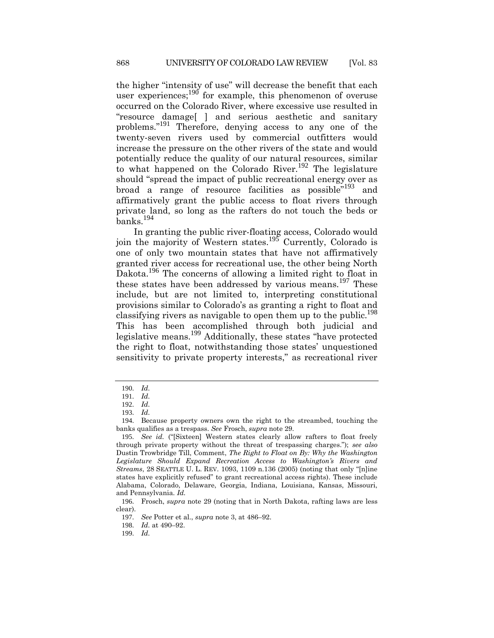the higher "intensity of use" will decrease the benefit that each user experiences; $190$  for example, this phenomenon of overuse occurred on the Colorado River, where excessive use resulted in "resource damage[ ] and serious aesthetic and sanitary problems."<sup>191</sup> Therefore, denying access to any one of the twenty-seven rivers used by commercial outfitters would increase the pressure on the other rivers of the state and would potentially reduce the quality of our natural resources, similar to what happened on the Colorado River.<sup>192</sup> The legislature should "spread the impact of public recreational energy over as broad a range of resource facilities as possible"<sup>193</sup> and affirmatively grant the public access to float rivers through private land, so long as the rafters do not touch the beds or banks.<sup>194</sup>

In granting the public river-floating access, Colorado would join the majority of Western states.<sup>195</sup> Currently, Colorado is one of only two mountain states that have not affirmatively granted river access for recreational use, the other being North Dakota.<sup>196</sup> The concerns of allowing a limited right to float in these states have been addressed by various means.<sup>197</sup> These include, but are not limited to, interpreting constitutional provisions similar to Colorado's as granting a right to float and classifying rivers as navigable to open them up to the public.<sup>198</sup> This has been accomplished through both judicial and legislative means.<sup>199</sup> Additionally, these states "have protected the right to float, notwithstanding those states' unquestioned sensitivity to private property interests," as recreational river

<sup>190</sup>. *Id.*

<sup>191</sup>. *Id.*

<sup>192</sup>. *Id.*

<sup>193</sup>. *Id.*

<sup>194</sup>. Because property owners own the right to the streambed, touching the banks qualifies as a trespass. *See* Frosch, *supra* not[e 29.](#page-4-1)

<sup>195</sup>. *See id.* ("[Sixteen] Western states clearly allow rafters to float freely through private property without the threat of trespassing charges."); *see also* Dustin Trowbridge Till, Comment, *The Right to Float on By: Why the Washington Legislature Should Expand Recreation Access to Washington's Rivers and Streams*, 28 SEATTLE U. L. REV. 1093, 1109 n.136 (2005) (noting that only "[n]ine states have explicitly refused" to grant recreational access rights). These include Alabama, Colorado, Delaware, Georgia, Indiana, Louisiana, Kansas, Missouri, and Pennsylvania. *Id.*

<sup>196</sup>. Frosch, *supra* note [29](#page-4-1) (noting that in North Dakota, rafting laws are less clear).

<sup>197</sup>. *See* Potter et al., *supra* note [3,](#page-1-0) at 486–92.

<sup>198</sup>. *Id.* at 490–92.

<sup>199</sup>. *Id.*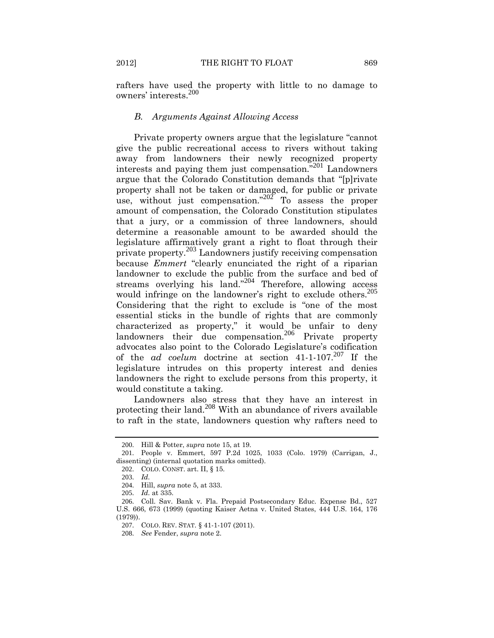rafters have used the property with little to no damage to owners' interests.<sup>200</sup>

#### *B. Arguments Against Allowing Access*

Private property owners argue that the legislature "cannot give the public recreational access to rivers without taking away from landowners their newly recognized property interests and paying them just compensation."<sup>201</sup> Landowners argue that the Colorado Constitution demands that "[p]rivate property shall not be taken or damaged, for public or private use, without just compensation."<sup>202</sup> To assess the proper amount of compensation, the Colorado Constitution stipulates that a jury, or a commission of three landowners, should determine a reasonable amount to be awarded should the legislature affirmatively grant a right to float through their private property.<sup>203</sup> Landowners justify receiving compensation because *Emmert* "clearly enunciated the right of a riparian landowner to exclude the public from the surface and bed of streams overlying his land."<sup>204</sup> Therefore, allowing access would infringe on the landowner's right to exclude others.<sup>205</sup> Considering that the right to exclude is "one of the most essential sticks in the bundle of rights that are commonly characterized as property," it would be unfair to deny landowners their due compensation.<sup>206</sup> Private property advocates also point to the Colorado Legislature's codification of the *ad coelum* doctrine at section 41-1-107.<sup>207</sup> If the legislature intrudes on this property interest and denies landowners the right to exclude persons from this property, it would constitute a taking.

Landowners also stress that they have an interest in protecting their land.<sup>208</sup> With an abundance of rivers available to raft in the state, landowners question why rafters need to

<sup>200</sup>. Hill & Potter, *supra* note [15,](#page-3-0) at 19.

<sup>201</sup>. People v. Emmert, 597 P.2d 1025, 1033 (Colo. 1979) (Carrigan, J., dissenting) (internal quotation marks omitted).

<sup>202</sup>. COLO. CONST. art. II, § 15.

<sup>203</sup>. *Id.*

<sup>204</sup>. Hill, *supra* note [5,](#page-1-2) at 333.

<sup>205</sup>. *Id.* at 335.

<sup>206</sup>. Coll. Sav. Bank v. Fla. Prepaid Postsecondary Educ. Expense Bd., 527 U.S. 666, 673 (1999) (quoting Kaiser Aetna v. United States, 444 U.S. 164, 176 (1979)).

<sup>207</sup>. COLO. REV. STAT. § 41-1-107 (2011).

<sup>208</sup>. *See* Fender, *supra* not[e 2.](#page-1-1)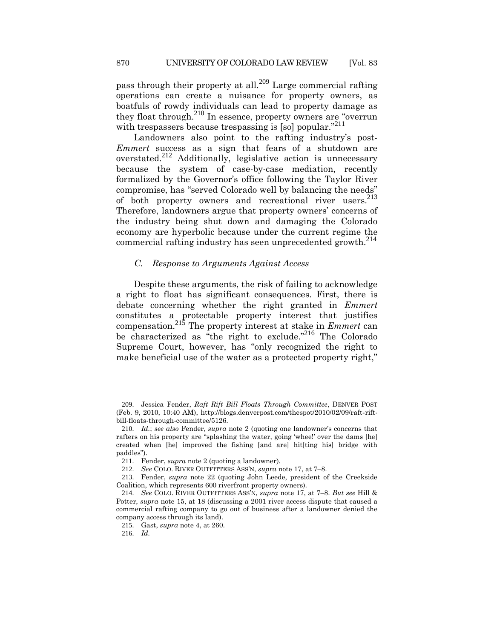pass through their property at all.<sup>209</sup> Large commercial rafting operations can create a nuisance for property owners, as boatfuls of rowdy individuals can lead to property damage as they float through.<sup>210</sup> In essence, property owners are "overrun" with trespassers because trespassing is [so] popular.<sup>"211</sup>

Landowners also point to the rafting industry's post-*Emmert* success as a sign that fears of a shutdown are overstated.<sup>212</sup> Additionally, legislative action is unnecessary because the system of case-by-case mediation, recently formalized by the Governor's office following the Taylor River compromise, has "served Colorado well by balancing the needs" of both property owners and recreational river users.<sup>213</sup> Therefore, landowners argue that property owners' concerns of the industry being shut down and damaging the Colorado economy are hyperbolic because under the current regime the commercial rafting industry has seen unprecedented growth.<sup>214</sup>

### *C. Response to Arguments Against Access*

Despite these arguments, the risk of failing to acknowledge a right to float has significant consequences. First, there is debate concerning whether the right granted in *Emmert* constitutes a protectable property interest that justifies compensation.<sup>215</sup> The property interest at stake in *Emmert* can be characterized as "the right to exclude."<sup>216</sup> The Colorado Supreme Court, however, has "only recognized the right to make beneficial use of the water as a protected property right,"

<sup>209</sup>. Jessica Fender, *Raft Rift Bill Floats Through Committee*, DENVER POST (Feb. 9, 2010, 10:40 AM), http://blogs.denverpost.com/thespot/2010/02/09/raft-riftbill-floats-through-committee/5126.

<sup>210</sup>. *Id.*; *see also* Fender, *supra* note [2](#page-1-1) (quoting one landowner's concerns that rafters on his property are "splashing the water, going 'whee!' over the dams [he] created when [he] improved the fishing [and are] hit[ting his] bridge with paddles").

<sup>211</sup>. Fender, *supra* note [2](#page-1-1) (quoting a landowner).

<sup>212</sup>. *See* COLO. RIVER OUTFITTERS ASS'N, *supra* not[e 17,](#page-3-2) at 7–8.

<sup>213</sup>. Fender, *supra* note [22](#page-3-1) (quoting John Leede, president of the Creekside Coalition, which represents 600 riverfront property owners).

<sup>214</sup>. *See* COLO. RIVER OUTFITTERS ASS'N, *supra* note [17,](#page-3-2) at 7–8. *But see* Hill & Potter, *supra* note [15,](#page-3-0) at 18 (discussing a 2001 river access dispute that caused a commercial rafting company to go out of business after a landowner denied the company access through its land).

<sup>215</sup>. Gast, *supra* not[e 4,](#page-1-3) at 260.

<sup>216</sup>. *Id.*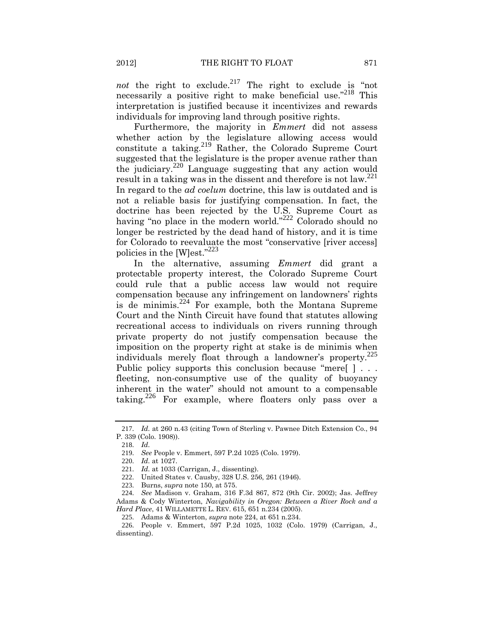*not* the right to exclude.<sup>217</sup> The right to exclude is "not necessarily a positive right to make beneficial use."<sup>218</sup> This interpretation is justified because it incentivizes and rewards individuals for improving land through positive rights.

Furthermore, the majority in *Emmert* did not assess whether action by the legislature allowing access would constitute a taking.<sup>219</sup> Rather, the Colorado Supreme Court suggested that the legislature is the proper avenue rather than the judiciary.<sup>220</sup> Language suggesting that any action would result in a taking was in the dissent and therefore is not  $law^{221}$ . In regard to the *ad coelum* doctrine, this law is outdated and is not a reliable basis for justifying compensation. In fact, the doctrine has been rejected by the U.S. Supreme Court as having "no place in the modern world."<sup>222</sup> Colorado should no longer be restricted by the dead hand of history, and it is time for Colorado to reevaluate the most "conservative [river access] policies in the [W]est."<sup>223</sup>

<span id="page-26-0"></span>In the alternative, assuming *Emmert* did grant a protectable property interest, the Colorado Supreme Court could rule that a public access law would not require compensation because any infringement on landowners' rights is de minimis.<sup>224</sup> For example, both the Montana Supreme Court and the Ninth Circuit have found that statutes allowing recreational access to individuals on rivers running through private property do not justify compensation because the imposition on the property right at stake is de minimis when individuals merely float through a landowner's property.<sup>225</sup> Public policy supports this conclusion because "mere[ ] . . . fleeting, non-consumptive use of the quality of buoyancy inherent in the water" should not amount to a compensable taking.<sup>226</sup> For example, where floaters only pass over a

<sup>217</sup>. *Id.* at 260 n.43 (citing Town of Sterling v. Pawnee Ditch Extension Co., 94 P. 339 (Colo. 1908)).

<sup>218</sup>. *Id.*

<sup>219</sup>. *See* People v. Emmert, 597 P.2d 1025 (Colo. 1979).

<sup>220</sup>. *Id.* at 1027.

<sup>221</sup>. *Id.* at 1033 (Carrigan, J., dissenting).

<sup>222</sup>. United States v. Causby, 328 U.S. 256, 261 (1946).

<sup>223</sup>. Burns, *supra* note [150,](#page-18-1) at 575.

<sup>224</sup>. *See* Madison v. Graham, 316 F.3d 867, 872 (9th Cir. 2002); Jas. Jeffrey Adams & Cody Winterton, *Navigability in Oregon: Between a River Rock and a Hard Place*, 41 WILLAMETTE L. REV. 615, 651 n.234 (2005).

<sup>225</sup>. Adams & Winterton, *supra* note [224,](#page-26-0) at 651 n.234.

<sup>226</sup>. People v. Emmert, 597 P.2d 1025, 1032 (Colo. 1979) (Carrigan, J., dissenting).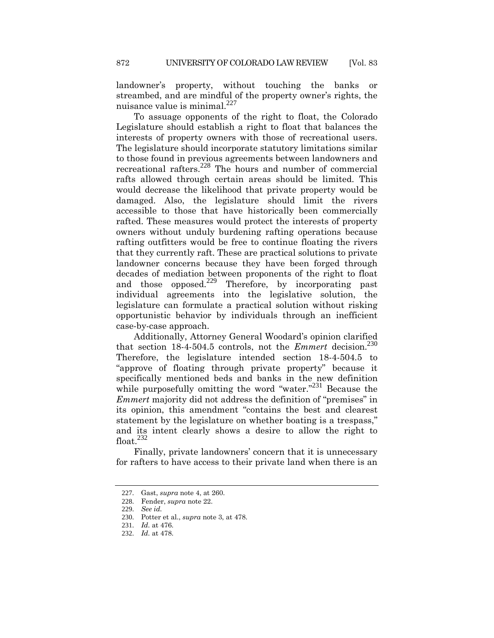landowner's property, without touching the banks or streambed, and are mindful of the property owner's rights, the nuisance value is minimal.<sup>227</sup>

To assuage opponents of the right to float, the Colorado Legislature should establish a right to float that balances the interests of property owners with those of recreational users. The legislature should incorporate statutory limitations similar to those found in previous agreements between landowners and recreational rafters.<sup>228</sup> The hours and number of commercial rafts allowed through certain areas should be limited. This would decrease the likelihood that private property would be damaged. Also, the legislature should limit the rivers accessible to those that have historically been commercially rafted. These measures would protect the interests of property owners without unduly burdening rafting operations because rafting outfitters would be free to continue floating the rivers that they currently raft. These are practical solutions to private landowner concerns because they have been forged through decades of mediation between proponents of the right to float and those opposed.<sup>229</sup> Therefore, by incorporating past individual agreements into the legislative solution, the legislature can formulate a practical solution without risking opportunistic behavior by individuals through an inefficient case-by-case approach.

Additionally, Attorney General Woodard's opinion clarified that section  $18-4-504.5$  controls, not the *Emmert* decision.<sup>230</sup> Therefore, the legislature intended section 18-4-504.5 to "approve of floating through private property" because it specifically mentioned beds and banks in the new definition while purposefully omitting the word "water."<sup>231</sup> Because the *Emmert* majority did not address the definition of "premises" in its opinion, this amendment "contains the best and clearest statement by the legislature on whether boating is a trespass," and its intent clearly shows a desire to allow the right to float. $232$ 

Finally, private landowners' concern that it is unnecessary for rafters to have access to their private land when there is an

<sup>227</sup>. Gast, *supra* not[e 4,](#page-1-3) at 260.

<sup>228</sup>. Fender, *supra* note [22.](#page-3-1)

<sup>229</sup>. *See id.*

<sup>230</sup>. Potter et al., *supra* not[e 3,](#page-1-0) at 478.

<sup>231</sup>. *Id.* at 476.

<sup>232</sup>. *Id.* at 478.